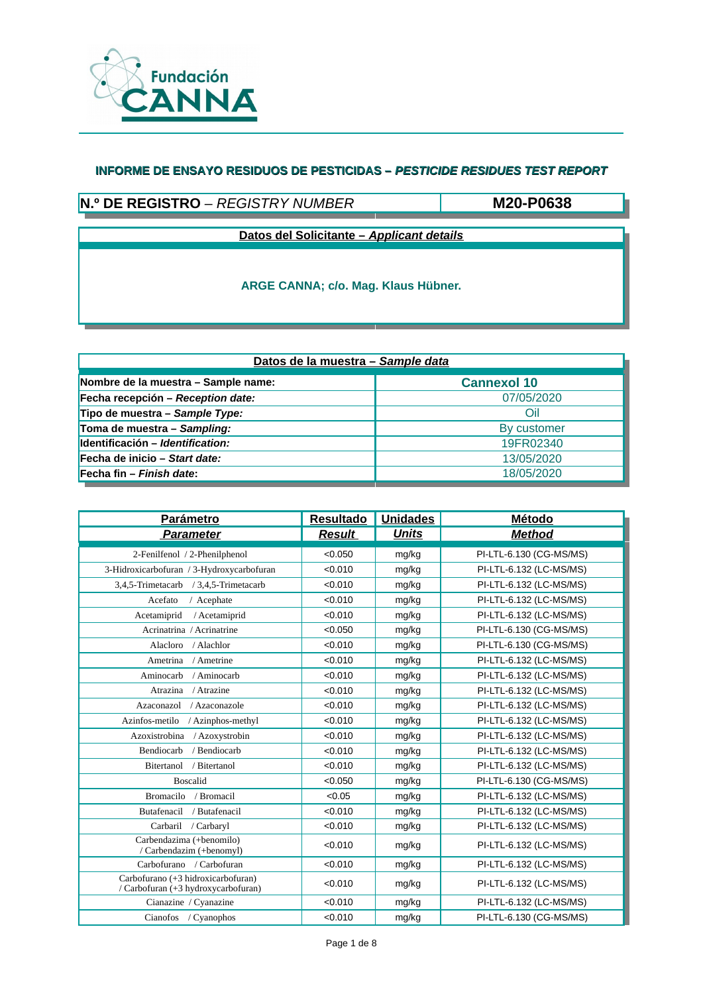

## **N.º DE REGISTRO** – *REGISTRY NUMBER*

**M20-P0638**

**Datos del Solicitante –** *Applicant details*

| Datos de la muestra - Sample data   |                    |  |  |  |
|-------------------------------------|--------------------|--|--|--|
| Nombre de la muestra – Sample name: | <b>Cannexol 10</b> |  |  |  |
| Fecha recepción – Reception date:   | 07/05/2020         |  |  |  |
| Tipo de muestra – Sample Type:      | Oil                |  |  |  |
| Toma de muestra - Sampling:         | By customer        |  |  |  |
| Identificación – Identification:    | 19FR02340          |  |  |  |
| Fecha de inicio – Start date:       | 13/05/2020         |  |  |  |
| Fecha fin – Finish date:            | 18/05/2020         |  |  |  |

| <b>Parámetro</b>                                                          | <b>Resultado</b> | <b>Unidades</b> | <b>Método</b>           |
|---------------------------------------------------------------------------|------------------|-----------------|-------------------------|
| <b>Parameter</b>                                                          | <b>Result</b>    | <b>Units</b>    | <b>Method</b>           |
| 2-Fenilfenol / 2-Phenilphenol                                             | < 0.050          | mg/kg           | PI-LTL-6.130 (CG-MS/MS) |
| 3-Hidroxicarbofuran / 3-Hydroxycarbofuran                                 | < 0.010          | mg/kg           | PI-LTL-6.132 (LC-MS/MS) |
| 3,4,5-Trimetacarb / 3,4,5-Trimetacarb                                     | < 0.010          | mg/kg           | PI-LTL-6.132 (LC-MS/MS) |
| Acefato<br>/ Acephate                                                     | < 0.010          | mg/kg           | PI-LTL-6.132 (LC-MS/MS) |
| / Acetamiprid<br>Acetamiprid                                              | < 0.010          | mg/kg           | PI-LTL-6.132 (LC-MS/MS) |
| Acrinatrina / Acrinatrine                                                 | < 0.050          | mg/kg           | PI-LTL-6.130 (CG-MS/MS) |
| Alacloro<br>/ Alachlor                                                    | < 0.010          | mg/kg           | PI-LTL-6.130 (CG-MS/MS) |
| Ametrina<br>/ Ametrine                                                    | < 0.010          | mg/kg           | PI-LTL-6.132 (LC-MS/MS) |
| Aminocarb<br>/ Aminocarb                                                  | < 0.010          | mg/kg           | PI-LTL-6.132 (LC-MS/MS) |
| / Atrazine<br>Atrazina                                                    | < 0.010          | mg/kg           | PI-LTL-6.132 (LC-MS/MS) |
| Azaconazol<br>/ Azaconazole                                               | < 0.010          | mg/kg           | PI-LTL-6.132 (LC-MS/MS) |
| Azinfos-metilo<br>/ Azinphos-methyl                                       | < 0.010          | mg/kg           | PI-LTL-6.132 (LC-MS/MS) |
| Azoxistrobina<br>/ Azoxystrobin                                           | < 0.010          | mg/kg           | PI-LTL-6.132 (LC-MS/MS) |
| / Bendiocarb<br>Bendiocarb                                                | < 0.010          | mg/kg           | PI-LTL-6.132 (LC-MS/MS) |
| Bitertanol<br>/ Bitertanol                                                | < 0.010          | mg/kg           | PI-LTL-6.132 (LC-MS/MS) |
| <b>Boscalid</b>                                                           | < 0.050          | mg/kg           | PI-LTL-6.130 (CG-MS/MS) |
| <b>Bromacilo</b><br>/ Bromacil                                            | < 0.05           | mg/kg           | PI-LTL-6.132 (LC-MS/MS) |
| Butafenacil<br>/ Butafenacil                                              | < 0.010          | mg/kg           | PI-LTL-6.132 (LC-MS/MS) |
| Carbaril / Carbaryl                                                       | < 0.010          | mg/kg           | PI-LTL-6.132 (LC-MS/MS) |
| Carbendazima (+benomilo)<br>/ Carbendazim (+benomyl)                      | < 0.010          | mg/kg           | PI-LTL-6.132 (LC-MS/MS) |
| Carbofurano / Carbofuran                                                  | < 0.010          | mg/kg           | PI-LTL-6.132 (LC-MS/MS) |
| Carbofurano (+3 hidroxicarbofuran)<br>/ Carbofuran (+3 hydroxycarbofuran) | < 0.010          | mg/kg           | PI-LTL-6.132 (LC-MS/MS) |
| Cianazine / Cyanazine                                                     | < 0.010          | mg/kg           | PI-LTL-6.132 (LC-MS/MS) |
| Cianofos / Cyanophos                                                      | < 0.010          | mg/kg           | PI-LTL-6.130 (CG-MS/MS) |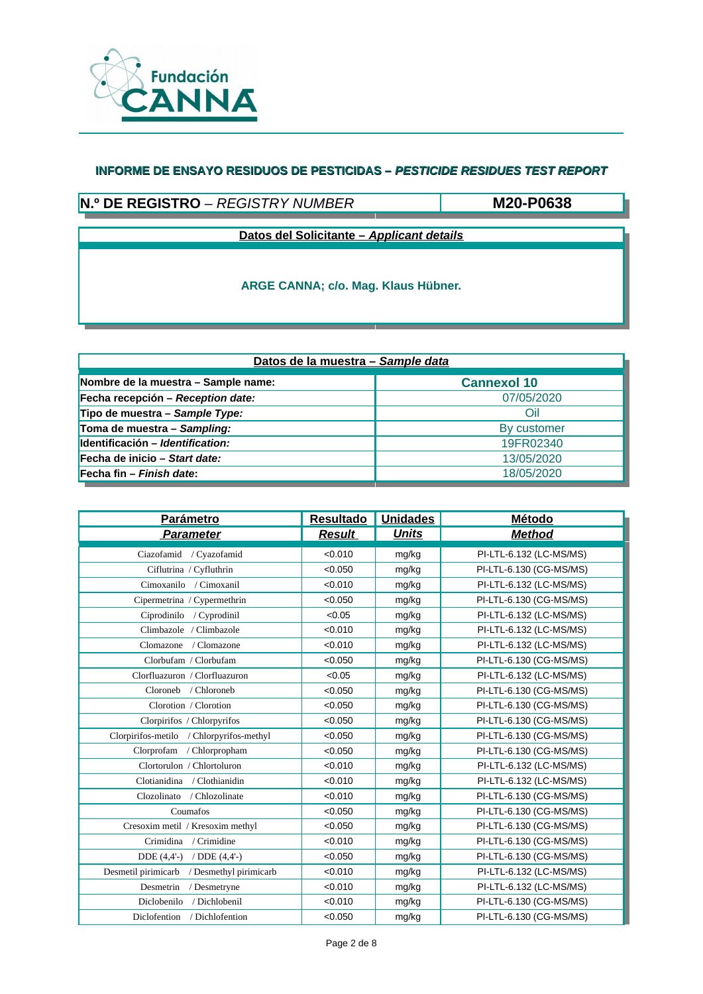

## **N.º DE REGISTRO** – *REGISTRY NUMBER*

**M20-P0638**

**Datos del Solicitante –** *Applicant details*

| Datos de la muestra - Sample data   |                    |  |  |  |
|-------------------------------------|--------------------|--|--|--|
| Nombre de la muestra - Sample name: | <b>Cannexol 10</b> |  |  |  |
| Fecha recepción – Reception date:   | 07/05/2020         |  |  |  |
| Tipo de muestra – Sample Type:      | Oil                |  |  |  |
| Toma de muestra - Sampling:         | By customer        |  |  |  |
| Identificación - Identification:    | 19FR02340          |  |  |  |
| Fecha de inicio – Start date:       | 13/05/2020         |  |  |  |
| Fecha fin – Finish date:            | 18/05/2020         |  |  |  |

| <b>Parámetro</b>                              | <b>Resultado</b> | <b>Unidades</b> | <b>Método</b>           |
|-----------------------------------------------|------------------|-----------------|-------------------------|
| <b>Parameter</b>                              | <b>Result</b>    | <b>Units</b>    | <b>Method</b>           |
| Ciazofamid / Cyazofamid                       | < 0.010          | mg/kg           | PI-LTL-6.132 (LC-MS/MS) |
| Ciflutrina / Cyfluthrin                       | < 0.050          | mg/kg           | PI-LTL-6.130 (CG-MS/MS) |
| Cimoxanilo / Cimoxanil                        | < 0.010          | mg/kg           | PI-LTL-6.132 (LC-MS/MS) |
| Cipermetrina / Cypermethrin                   | < 0.050          | mg/kg           | PI-LTL-6.130 (CG-MS/MS) |
| Ciprodinilo / Cyprodinil                      | < 0.05           | mg/kg           | PI-LTL-6.132 (LC-MS/MS) |
| Climbazole / Climbazole                       | < 0.010          | mg/kg           | PI-LTL-6.132 (LC-MS/MS) |
| Clomazone<br>/ Clomazone                      | < 0.010          | mg/kg           | PI-LTL-6.132 (LC-MS/MS) |
| Clorbufam / Clorbufam                         | < 0.050          | mg/kg           | PI-LTL-6.130 (CG-MS/MS) |
| Clorfluazuron / Clorfluazuron                 | < 0.05           | mg/kg           | PI-LTL-6.132 (LC-MS/MS) |
| Cloroneb<br>/ Chloroneb                       | < 0.050          | mg/kg           | PI-LTL-6.130 (CG-MS/MS) |
| Clorotion / Clorotion                         | < 0.050          | mg/kg           | PI-LTL-6.130 (CG-MS/MS) |
| Clorpirifos / Chlorpyrifos                    | < 0.050          | mg/kg           | PI-LTL-6.130 (CG-MS/MS) |
| Clorpirifos-metilo / Chlorpyrifos-methyl      | < 0.050          | mg/kg           | PI-LTL-6.130 (CG-MS/MS) |
| Clorprofam<br>/ Chlorpropham                  | < 0.050          | mg/kg           | PI-LTL-6.130 (CG-MS/MS) |
| Clortorulon / Chlortoluron                    | < 0.010          | mg/kg           | PI-LTL-6.132 (LC-MS/MS) |
| Clotianidina / Clothianidin                   | < 0.010          | mg/kg           | PI-LTL-6.132 (LC-MS/MS) |
| Clozolinato / Chlozolinate                    | < 0.010          | mg/kg           | PI-LTL-6.130 (CG-MS/MS) |
| Coumafos                                      | < 0.050          | mg/kg           | PI-LTL-6.130 (CG-MS/MS) |
| Cresoxim metil / Kresoxim methyl              | < 0.050          | mg/kg           | PI-LTL-6.130 (CG-MS/MS) |
| Crimidina / Crimidine                         | < 0.010          | mg/kg           | PI-LTL-6.130 (CG-MS/MS) |
| $DDE(4,4'-)$<br>/ $DDE(4,4'-)$                | < 0.050          | mg/kg           | PI-LTL-6.130 (CG-MS/MS) |
| Desmetil pirimicarb<br>/ Desmethyl pirimicarb | < 0.010          | mg/kg           | PI-LTL-6.132 (LC-MS/MS) |
| Desmetrin<br>/ Desmetryne                     | < 0.010          | mg/kg           | PI-LTL-6.132 (LC-MS/MS) |
| Diclobenilo<br>/ Dichlobenil                  | < 0.010          | mg/kg           | PI-LTL-6.130 (CG-MS/MS) |
| Diclofention<br>/ Dichlofention               | < 0.050          | mg/kg           | PI-LTL-6.130 (CG-MS/MS) |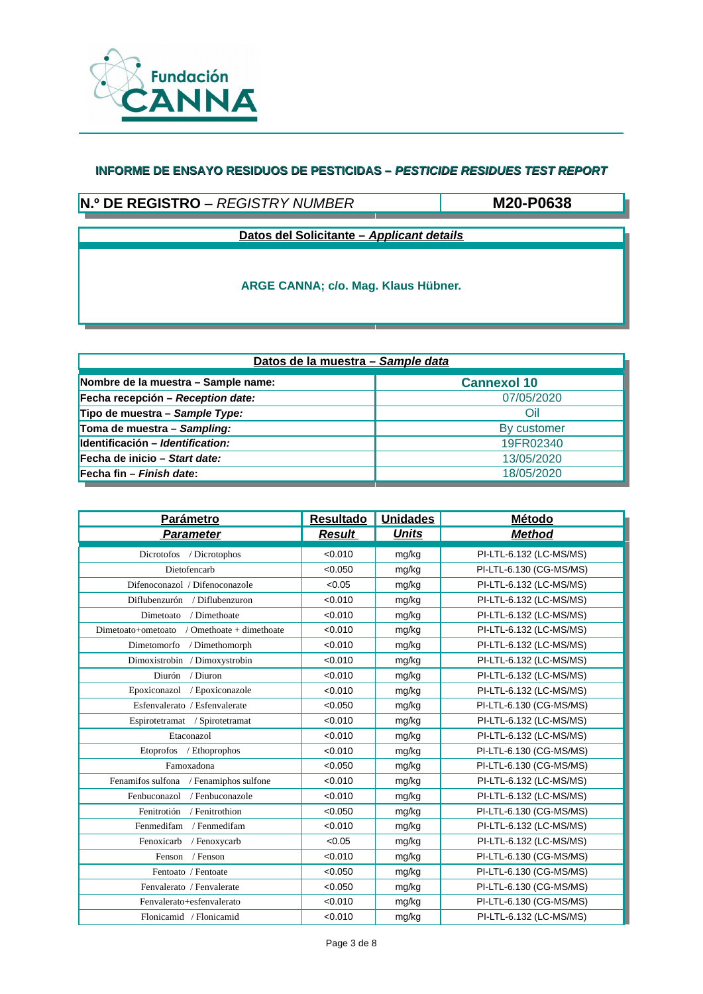

## **N.º DE REGISTRO** – *REGISTRY NUMBER*

**M20-P0638**

**Datos del Solicitante –** *Applicant details*

| Datos de la muestra - Sample data   |                    |  |  |  |
|-------------------------------------|--------------------|--|--|--|
| Nombre de la muestra – Sample name: | <b>Cannexol 10</b> |  |  |  |
| Fecha recepción – Reception date:   | 07/05/2020         |  |  |  |
| Tipo de muestra – Sample Type:      | Oil                |  |  |  |
| Toma de muestra - Sampling:         | By customer        |  |  |  |
| Identificación – Identification:    | 19FR02340          |  |  |  |
| Fecha de inicio – Start date:       | 13/05/2020         |  |  |  |
| Fecha fin – Finish date:            | 18/05/2020         |  |  |  |

| <b>Parámetro</b>                               | <b>Resultado</b> | <b>Unidades</b> | Método                  |
|------------------------------------------------|------------------|-----------------|-------------------------|
| <b>Parameter</b>                               | <b>Result</b>    | <b>Units</b>    | <b>Method</b>           |
| Dicrotofos / Dicrotophos                       | < 0.010          | mg/kg           | PI-LTL-6.132 (LC-MS/MS) |
| Dietofencarb                                   | < 0.050          | mg/kg           | PI-LTL-6.130 (CG-MS/MS) |
| Difenoconazol / Difenoconazole                 | < 0.05           | mg/kg           | PI-LTL-6.132 (LC-MS/MS) |
| Diflubenzurón / Diflubenzuron                  | < 0.010          | mg/kg           | PI-LTL-6.132 (LC-MS/MS) |
| Dimetoato / Dimethoate                         | < 0.010          | mg/kg           | PI-LTL-6.132 (LC-MS/MS) |
| / Omethoate + dimethoate<br>Dimetoato+ometoato | < 0.010          | mg/kg           | PI-LTL-6.132 (LC-MS/MS) |
| Dimetomorfo / Dimethomorph                     | < 0.010          | mg/kg           | PI-LTL-6.132 (LC-MS/MS) |
| Dimoxistrobin / Dimoxystrobin                  | < 0.010          | mg/kg           | PI-LTL-6.132 (LC-MS/MS) |
| Diurón / Diuron                                | < 0.010          | mg/kg           | PI-LTL-6.132 (LC-MS/MS) |
| Epoxiconazol / Epoxiconazole                   | < 0.010          | mg/kg           | PI-LTL-6.132 (LC-MS/MS) |
| Esfenvalerato / Esfenvalerate                  | < 0.050          | mg/kg           | PI-LTL-6.130 (CG-MS/MS) |
| Espirotetramat / Spirotetramat                 | < 0.010          | mg/kg           | PI-LTL-6.132 (LC-MS/MS) |
| Etaconazol                                     | < 0.010          | mg/kg           | PI-LTL-6.132 (LC-MS/MS) |
| Etoprofos / Ethoprophos                        | < 0.010          | mg/kg           | PI-LTL-6.130 (CG-MS/MS) |
| Famoxadona                                     | < 0.050          | mg/kg           | PI-LTL-6.130 (CG-MS/MS) |
| Fenamifos sulfona / Fenamiphos sulfone         | < 0.010          | mg/kg           | PI-LTL-6.132 (LC-MS/MS) |
| / Fenbuconazole<br>Fenbuconazol                | < 0.010          | mg/kg           | PI-LTL-6.132 (LC-MS/MS) |
| Fenitrotión / Fenitrothion                     | < 0.050          | mg/kg           | PI-LTL-6.130 (CG-MS/MS) |
| Fenmedifam / Fenmedifam                        | < 0.010          | mg/kg           | PI-LTL-6.132 (LC-MS/MS) |
| Fenoxicarb<br>/ Fenoxycarb                     | < 0.05           | mg/kg           | PI-LTL-6.132 (LC-MS/MS) |
| / Fenson<br>Fenson                             | < 0.010          | mg/kg           | PI-LTL-6.130 (CG-MS/MS) |
| Fentoato / Fentoate                            | < 0.050          | mg/kg           | PI-LTL-6.130 (CG-MS/MS) |
| Fenvalerato / Fenvalerate                      | < 0.050          | mg/kg           | PI-LTL-6.130 (CG-MS/MS) |
| Fenvalerato+esfenvalerato                      | < 0.010          | mg/kg           | PI-LTL-6.130 (CG-MS/MS) |
| Flonicamid / Flonicamid                        | < 0.010          | mg/kg           | PI-LTL-6.132 (LC-MS/MS) |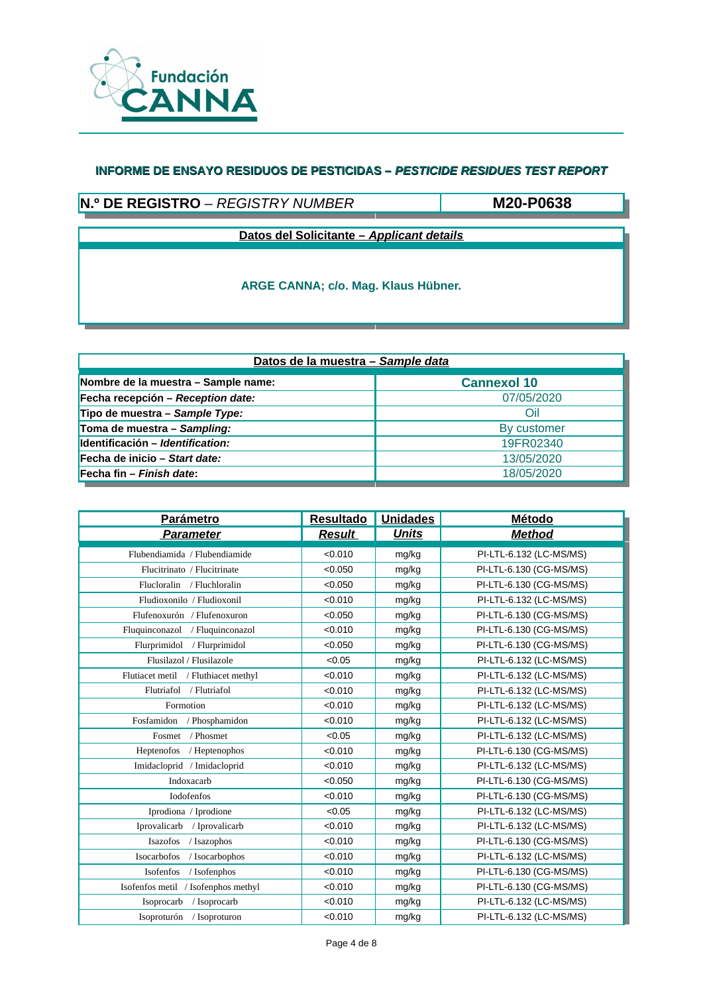

# **N.º DE REGISTRO** – *REGISTRY NUMBER*

**M20-P0638**

**Datos del Solicitante –** *Applicant details*

| Datos de la muestra - Sample data   |                    |  |  |  |
|-------------------------------------|--------------------|--|--|--|
| Nombre de la muestra - Sample name: | <b>Cannexol 10</b> |  |  |  |
| Fecha recepción – Reception date:   | 07/05/2020         |  |  |  |
| Tipo de muestra – Sample Type:      | Oil                |  |  |  |
| Toma de muestra - Sampling:         | By customer        |  |  |  |
| Identificación - Identification:    | 19FR02340          |  |  |  |
| Fecha de inicio – Start date:       | 13/05/2020         |  |  |  |
| Fecha fin – Finish date:            | 18/05/2020         |  |  |  |

| <b>Parámetro</b>                    | <b>Resultado</b> | <b>Unidades</b> | Método                  |
|-------------------------------------|------------------|-----------------|-------------------------|
| <b>Parameter</b>                    | <b>Result</b>    | <b>Units</b>    | <b>Method</b>           |
| Flubendiamida / Flubendiamide       | < 0.010          | mg/kg           | PI-LTL-6.132 (LC-MS/MS) |
| Flucitrinato / Flucitrinate         | < 0.050          | mg/kg           | PI-LTL-6.130 (CG-MS/MS) |
| Flucloralin / Fluchloralin          | < 0.050          | mg/kg           | PI-LTL-6.130 (CG-MS/MS) |
| Fludioxonilo / Fludioxonil          | < 0.010          | mg/kg           | PI-LTL-6.132 (LC-MS/MS) |
| Flufenoxurón / Flufenoxuron         | < 0.050          | mg/kg           | PI-LTL-6.130 (CG-MS/MS) |
| Fluquinconazol / Fluquinconazol     | < 0.010          | mg/kg           | PI-LTL-6.130 (CG-MS/MS) |
| Flurprimidol / Flurprimidol         | < 0.050          | mg/kg           | PI-LTL-6.130 (CG-MS/MS) |
| Flusilazol / Flusilazole            | < 0.05           | mg/kg           | PI-LTL-6.132 (LC-MS/MS) |
| Flutiacet metil / Fluthiacet methyl | < 0.010          | mg/kg           | PI-LTL-6.132 (LC-MS/MS) |
| Flutriafol / Flutriafol             | < 0.010          | mg/kg           | PI-LTL-6.132 (LC-MS/MS) |
| Formotion                           | < 0.010          | mg/kg           | PI-LTL-6.132 (LC-MS/MS) |
| Fosfamidon / Phosphamidon           | < 0.010          | mg/kg           | PI-LTL-6.132 (LC-MS/MS) |
| / Phosmet<br>Fosmet                 | < 0.05           | mg/kg           | PI-LTL-6.132 (LC-MS/MS) |
| Heptenofos<br>/ Heptenophos         | < 0.010          | mg/kg           | PI-LTL-6.130 (CG-MS/MS) |
| Imidacloprid / Imidacloprid         | < 0.010          | mg/kg           | PI-LTL-6.132 (LC-MS/MS) |
| Indoxacarb                          | < 0.050          | mg/kg           | PI-LTL-6.130 (CG-MS/MS) |
| Iodofenfos                          | < 0.010          | mg/kg           | PI-LTL-6.130 (CG-MS/MS) |
| Iprodiona / Iprodione               | < 0.05           | mg/kg           | PI-LTL-6.132 (LC-MS/MS) |
| Iprovalicarb / Iprovalicarb         | < 0.010          | mg/kg           | PI-LTL-6.132 (LC-MS/MS) |
| / Isazophos<br>Isazofos             | < 0.010          | mg/kg           | PI-LTL-6.130 (CG-MS/MS) |
| Isocarbofos<br>/ Isocarbophos       | < 0.010          | mg/kg           | PI-LTL-6.132 (LC-MS/MS) |
| Isofenfos<br>/ Isofenphos           | < 0.010          | mg/kg           | PI-LTL-6.130 (CG-MS/MS) |
| Isofenfos metil / Isofenphos methyl | < 0.010          | mg/kg           | PI-LTL-6.130 (CG-MS/MS) |
| Isoprocarb<br>/ Isoprocarb          | < 0.010          | mg/kg           | PI-LTL-6.132 (LC-MS/MS) |
| Isoproturón / Isoproturon           | < 0.010          | mg/kg           | PI-LTL-6.132 (LC-MS/MS) |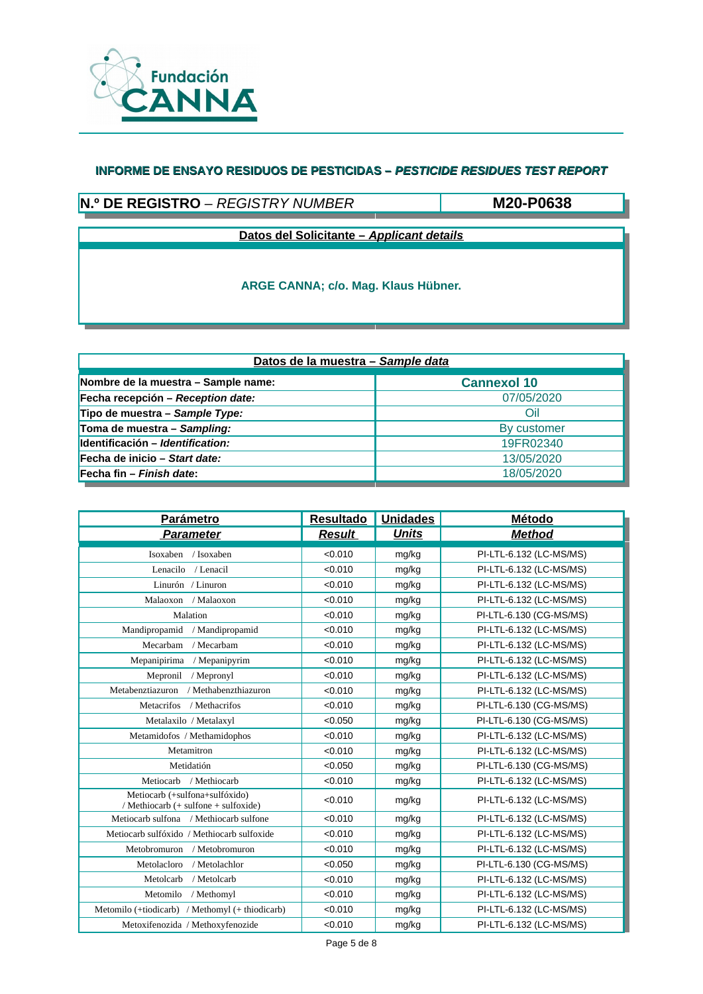

# **N.º DE REGISTRO** – *REGISTRY NUMBER*

**M20-P0638**

**Datos del Solicitante –** *Applicant details*

| Datos de la muestra - Sample data   |                    |  |  |  |
|-------------------------------------|--------------------|--|--|--|
| Nombre de la muestra - Sample name: | <b>Cannexol 10</b> |  |  |  |
| Fecha recepción - Reception date:   | 07/05/2020         |  |  |  |
| Tipo de muestra – Sample Type:      | Oil                |  |  |  |
| Toma de muestra - Sampling:         | By customer        |  |  |  |
| Identificación - Identification:    | 19FR02340          |  |  |  |
| Fecha de inicio - Start date:       | 13/05/2020         |  |  |  |
| Fecha fin – Finish date:            | 18/05/2020         |  |  |  |

| <b>Parámetro</b>                                                       | <b>Resultado</b> | <b>Unidades</b> | <b>Método</b>           |
|------------------------------------------------------------------------|------------------|-----------------|-------------------------|
| <b>Parameter</b>                                                       | <b>Result</b>    | <b>Units</b>    | <b>Method</b>           |
| Isoxaben / Isoxaben                                                    | < 0.010          | mg/kg           | PI-LTL-6.132 (LC-MS/MS) |
| Lenacilo / Lenacil                                                     | < 0.010          | mg/kg           | PI-LTL-6.132 (LC-MS/MS) |
| Linurón / Linuron                                                      | < 0.010          | mg/kg           | PI-LTL-6.132 (LC-MS/MS) |
| Malaoxon / Malaoxon                                                    | < 0.010          | mg/kg           | PI-LTL-6.132 (LC-MS/MS) |
| Malation                                                               | < 0.010          | mg/kg           | PI-LTL-6.130 (CG-MS/MS) |
| Mandipropamid<br>/ Mandipropamid                                       | < 0.010          | mg/kg           | PI-LTL-6.132 (LC-MS/MS) |
| Mecarbam / Mecarbam                                                    | < 0.010          | mg/kg           | PI-LTL-6.132 (LC-MS/MS) |
| Mepanipirima / Mepanipyrim                                             | < 0.010          | mg/kg           | PI-LTL-6.132 (LC-MS/MS) |
| Mepronil<br>/ Mepronyl                                                 | < 0.010          | mg/kg           | PI-LTL-6.132 (LC-MS/MS) |
| / Methabenzthiazuron<br>Metabenztiazuron                               | < 0.010          | mg/kg           | PI-LTL-6.132 (LC-MS/MS) |
| <b>Metacrifos</b><br>/ Methacrifos                                     | < 0.010          | mg/kg           | PI-LTL-6.130 (CG-MS/MS) |
| Metalaxilo / Metalaxyl                                                 | < 0.050          | mg/kg           | PI-LTL-6.130 (CG-MS/MS) |
| Metamidofos / Methamidophos                                            | < 0.010          | mg/kg           | PI-LTL-6.132 (LC-MS/MS) |
| Metamitron                                                             | < 0.010          | mg/kg           | PI-LTL-6.132 (LC-MS/MS) |
| Metidatión                                                             | < 0.050          | mg/kg           | PI-LTL-6.130 (CG-MS/MS) |
| Metiocarb<br>/ Methiocarb                                              | < 0.010          | mg/kg           | PI-LTL-6.132 (LC-MS/MS) |
| Metiocarb (+sulfona+sulfóxido)<br>/ Methiocarb (+ sulfone + sulfoxide) | < 0.010          | mg/kg           | PI-LTL-6.132 (LC-MS/MS) |
| Metiocarb sulfona / Methiocarb sulfone                                 | < 0.010          | mg/kg           | PI-LTL-6.132 (LC-MS/MS) |
| Metiocarb sulfóxido / Methiocarb sulfoxide                             | < 0.010          | mg/kg           | PI-LTL-6.132 (LC-MS/MS) |
| Metobromuron / Metobromuron                                            | < 0.010          | mg/kg           | PI-LTL-6.132 (LC-MS/MS) |
| Metolacloro<br>/ Metolachlor                                           | < 0.050          | mg/kg           | PI-LTL-6.130 (CG-MS/MS) |
| / Metolcarb<br>Metolcarb                                               | < 0.010          | mg/kg           | PI-LTL-6.132 (LC-MS/MS) |
| Metomilo<br>/ Methomyl                                                 | < 0.010          | mg/kg           | PI-LTL-6.132 (LC-MS/MS) |
| Metomilo (+tiodicarb) / Methomyl (+ thiodicarb)                        | < 0.010          | mg/kg           | PI-LTL-6.132 (LC-MS/MS) |
| Metoxifenozida / Methoxyfenozide                                       | < 0.010          | mg/kg           | PI-LTL-6.132 (LC-MS/MS) |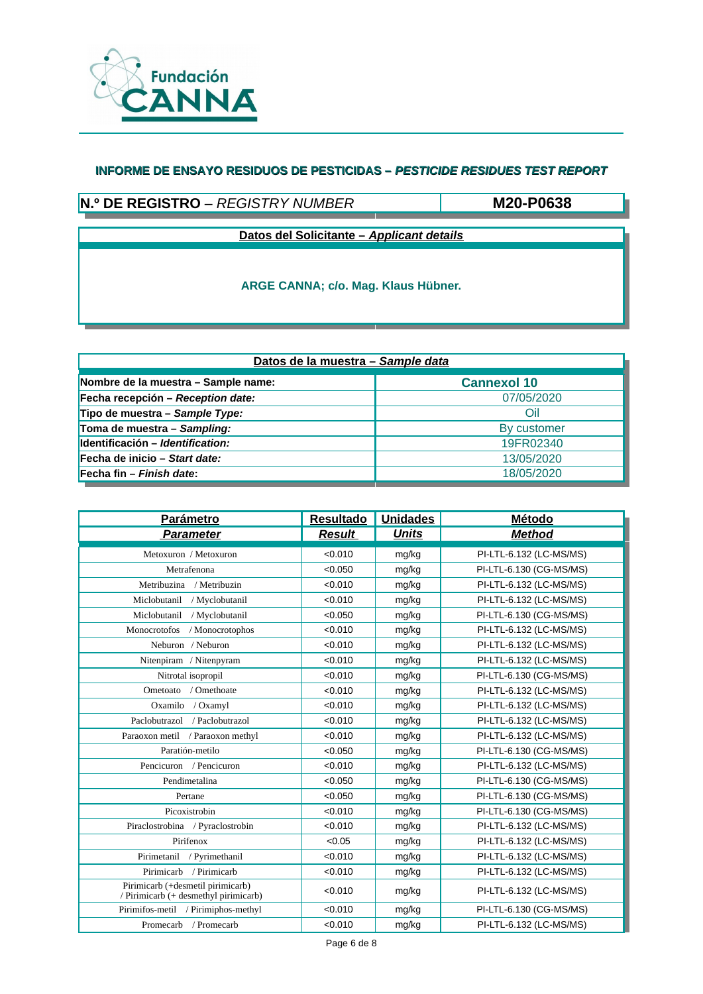

# **N.º DE REGISTRO** – *REGISTRY NUMBER*

**M20-P0638**

**Datos del Solicitante –** *Applicant details*

| Datos de la muestra - Sample data   |                    |  |  |  |
|-------------------------------------|--------------------|--|--|--|
| Nombre de la muestra - Sample name: | <b>Cannexol 10</b> |  |  |  |
| Fecha recepción – Reception date:   | 07/05/2020         |  |  |  |
| Tipo de muestra – Sample Type:      | Oil                |  |  |  |
| Toma de muestra - Sampling:         | By customer        |  |  |  |
| Identificación - Identification:    | 19FR02340          |  |  |  |
| Fecha de inicio – Start date:       | 13/05/2020         |  |  |  |
| Fecha fin – Finish date:            | 18/05/2020         |  |  |  |

| Parámetro                                                                  | <b>Resultado</b> | <b>Unidades</b> | <b>Método</b>           |
|----------------------------------------------------------------------------|------------------|-----------------|-------------------------|
| <b>Parameter</b>                                                           | <b>Result</b>    | <b>Units</b>    | <b>Method</b>           |
| Metoxuron / Metoxuron                                                      | < 0.010          | mg/kg           | PI-LTL-6.132 (LC-MS/MS) |
| Metrafenona                                                                | < 0.050          | mg/kg           | PI-LTL-6.130 (CG-MS/MS) |
| Metribuzina<br>/ Metribuzin                                                | < 0.010          | mg/kg           | PI-LTL-6.132 (LC-MS/MS) |
| Miclobutanil<br>/ Myclobutanil                                             | < 0.010          | mg/kg           | PI-LTL-6.132 (LC-MS/MS) |
| Miclobutanil<br>/ Myclobutanil                                             | < 0.050          | mg/kg           | PI-LTL-6.130 (CG-MS/MS) |
| / Monocrotophos<br>Monocrotofos                                            | < 0.010          | mg/kg           | PI-LTL-6.132 (LC-MS/MS) |
| Neburon / Neburon                                                          | < 0.010          | mg/kg           | PI-LTL-6.132 (LC-MS/MS) |
| Nitenpiram / Nitenpyram                                                    | < 0.010          | mg/kg           | PI-LTL-6.132 (LC-MS/MS) |
| Nitrotal isopropil                                                         | < 0.010          | mg/kg           | PI-LTL-6.130 (CG-MS/MS) |
| / Omethoate<br>Ometoato                                                    | < 0.010          | mg/kg           | PI-LTL-6.132 (LC-MS/MS) |
| Oxamilo / Oxamyl                                                           | < 0.010          | mg/kg           | PI-LTL-6.132 (LC-MS/MS) |
| Paclobutrazol<br>/ Paclobutrazol                                           | < 0.010          | mg/kg           | PI-LTL-6.132 (LC-MS/MS) |
| Paraoxon metil<br>/ Paraoxon methyl                                        | < 0.010          | mg/kg           | PI-LTL-6.132 (LC-MS/MS) |
| Paratión-metilo                                                            | < 0.050          | mg/kg           | PI-LTL-6.130 (CG-MS/MS) |
| Pencicuron / Pencicuron                                                    | < 0.010          | mg/kg           | PI-LTL-6.132 (LC-MS/MS) |
| Pendimetalina                                                              | < 0.050          | mg/kg           | PI-LTL-6.130 (CG-MS/MS) |
| Pertane                                                                    | < 0.050          | mg/kg           | PI-LTL-6.130 (CG-MS/MS) |
| Picoxistrobin                                                              | < 0.010          | mg/kg           | PI-LTL-6.130 (CG-MS/MS) |
| Piraclostrobina / Pyraclostrobin                                           | < 0.010          | mg/kg           | PI-LTL-6.132 (LC-MS/MS) |
| Pirifenox                                                                  | < 0.05           | mg/kg           | PI-LTL-6.132 (LC-MS/MS) |
| Pirimetanil / Pyrimethanil                                                 | < 0.010          | mg/kg           | PI-LTL-6.132 (LC-MS/MS) |
| Pirimicarb<br>/ Pirimicarb                                                 | < 0.010          | mg/kg           | PI-LTL-6.132 (LC-MS/MS) |
| Pirimicarb (+desmetil pirimicarb)<br>/ Pirimicarb (+ desmethyl pirimicarb) | < 0.010          | mg/kg           | PI-LTL-6.132 (LC-MS/MS) |
| Pirimifos-metil / Pirimiphos-methyl                                        | < 0.010          | mg/kg           | PI-LTL-6.130 (CG-MS/MS) |
| Promecarb / Promecarb                                                      | < 0.010          | mg/kg           | PI-LTL-6.132 (LC-MS/MS) |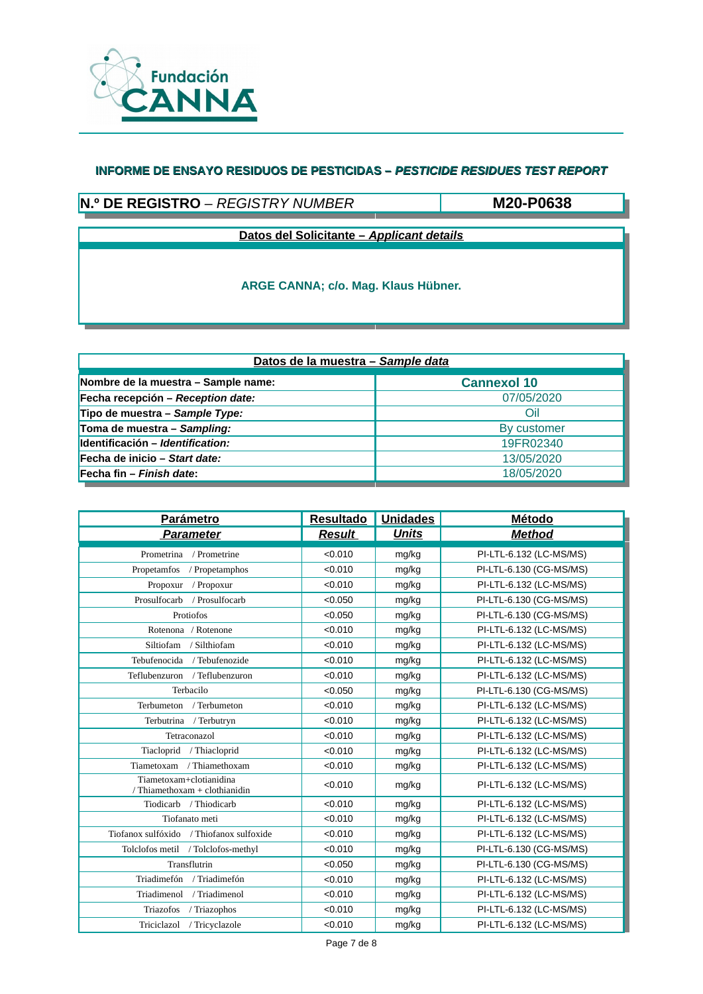

# **N.º DE REGISTRO** – *REGISTRY NUMBER*

**M20-P0638**

**Datos del Solicitante –** *Applicant details*

| Datos de la muestra - Sample data   |                    |  |  |  |  |
|-------------------------------------|--------------------|--|--|--|--|
| Nombre de la muestra - Sample name: | <b>Cannexol 10</b> |  |  |  |  |
| Fecha recepción – Reception date:   | 07/05/2020         |  |  |  |  |
| Tipo de muestra – Sample Type:      | Oil                |  |  |  |  |
| Toma de muestra - Sampling:         | By customer        |  |  |  |  |
| Identificación - Identification:    | 19FR02340          |  |  |  |  |
| Fecha de inicio – Start date:       | 13/05/2020         |  |  |  |  |
| Fecha fin – Finish date:            | 18/05/2020         |  |  |  |  |

| <b>Parámetro</b>                                         | <b>Resultado</b> | <b>Unidades</b> | <b>Método</b>           |
|----------------------------------------------------------|------------------|-----------------|-------------------------|
| <b>Parameter</b>                                         | <b>Result</b>    | <b>Units</b>    | <b>Method</b>           |
| Prometrina / Prometrine                                  | < 0.010          | mg/kg           | PI-LTL-6.132 (LC-MS/MS) |
| Propetamfos<br>/ Propetamphos                            | < 0.010          | mg/kg           | PI-LTL-6.130 (CG-MS/MS) |
| Propoxur<br>/ Propoxur                                   | < 0.010          | mg/kg           | PI-LTL-6.132 (LC-MS/MS) |
| Prosulfocarb<br>/ Prosulfocarb                           | < 0.050          | mg/kg           | PI-LTL-6.130 (CG-MS/MS) |
| Protiofos                                                | < 0.050          | mg/kg           | PI-LTL-6.130 (CG-MS/MS) |
| Rotenona / Rotenone                                      | < 0.010          | mg/kg           | PI-LTL-6.132 (LC-MS/MS) |
| Siltiofam / Silthiofam                                   | < 0.010          | mg/kg           | PI-LTL-6.132 (LC-MS/MS) |
| Tebufenocida / Tebufenozide                              | < 0.010          | mg/kg           | PI-LTL-6.132 (LC-MS/MS) |
| Teflubenzuron / Teflubenzuron                            | < 0.010          | mg/kg           | PI-LTL-6.132 (LC-MS/MS) |
| Terbacilo                                                | < 0.050          | mg/kg           | PI-LTL-6.130 (CG-MS/MS) |
| Terbumeton<br>/ Terbumeton                               | < 0.010          | mg/kg           | PI-LTL-6.132 (LC-MS/MS) |
| Terbutrina / Terbutryn                                   | < 0.010          | mg/kg           | PI-LTL-6.132 (LC-MS/MS) |
| Tetraconazol                                             | < 0.010          | mg/kg           | PI-LTL-6.132 (LC-MS/MS) |
| Tiacloprid / Thiacloprid                                 | < 0.010          | mg/kg           | PI-LTL-6.132 (LC-MS/MS) |
| Tiametoxam / Thiamethoxam                                | < 0.010          | mg/kg           | PI-LTL-6.132 (LC-MS/MS) |
| Tiametoxam+clotianidina<br>/ Thiamethoxam + clothianidin | < 0.010          | mg/kg           | PI-LTL-6.132 (LC-MS/MS) |
| Tiodicarb<br>/ Thiodicarb                                | < 0.010          | mg/kg           | PI-LTL-6.132 (LC-MS/MS) |
| Tiofanato meti                                           | < 0.010          | mg/kg           | PI-LTL-6.132 (LC-MS/MS) |
| Tiofanox sulfóxido / Thiofanox sulfoxide                 | < 0.010          | mg/kg           | PI-LTL-6.132 (LC-MS/MS) |
| Tolclofos metil / Tolclofos-methyl                       | < 0.010          | mg/kg           | PI-LTL-6.130 (CG-MS/MS) |
| Transflutrin                                             | < 0.050          | mg/kg           | PI-LTL-6.130 (CG-MS/MS) |
| Triadimefón / Triadimefón                                | < 0.010          | mg/kg           | PI-LTL-6.132 (LC-MS/MS) |
| Triadimenol<br>/ Triadimenol                             | < 0.010          | mg/kg           | PI-LTL-6.132 (LC-MS/MS) |
| Triazofos<br>/ Triazophos                                | < 0.010          | mg/kg           | PI-LTL-6.132 (LC-MS/MS) |
| / Tricyclazole<br>Triciclazol                            | < 0.010          | mg/kg           | PI-LTL-6.132 (LC-MS/MS) |